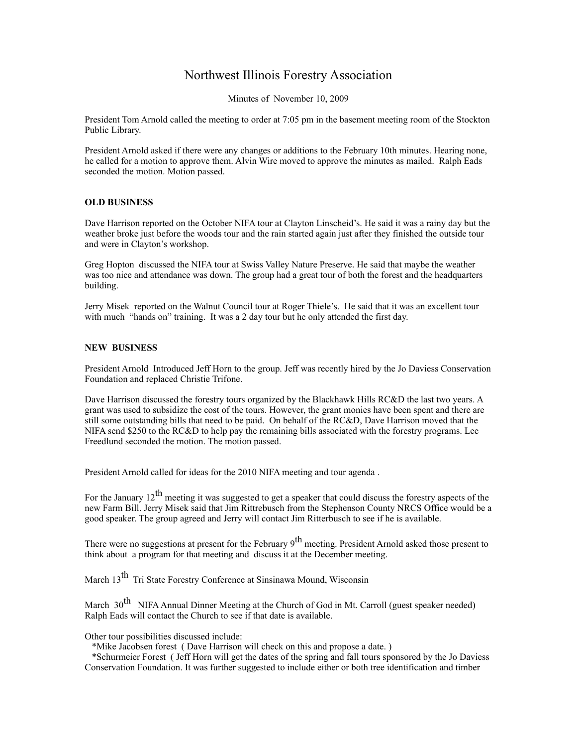## Northwest Illinois Forestry Association

Minutes of November 10, 2009

President Tom Arnold called the meeting to order at 7:05 pm in the basement meeting room of the Stockton Public Library.

President Arnold asked if there were any changes or additions to the February 10th minutes. Hearing none, he called for a motion to approve them. Alvin Wire moved to approve the minutes as mailed. Ralph Eads seconded the motion. Motion passed.

## **OLD BUSINESS**

Dave Harrison reported on the October NIFA tour at Clayton Linscheid's. He said it was a rainy day but the weather broke just before the woods tour and the rain started again just after they finished the outside tour and were in Clayton's workshop.

Greg Hopton discussed the NIFA tour at Swiss Valley Nature Preserve. He said that maybe the weather was too nice and attendance was down. The group had a great tour of both the forest and the headquarters building.

Jerry Misek reported on the Walnut Council tour at Roger Thiele's. He said that it was an excellent tour with much "hands on" training. It was a 2 day tour but he only attended the first day.

## **NEW BUSINESS**

President Arnold Introduced Jeff Horn to the group. Jeff was recently hired by the Jo Daviess Conservation Foundation and replaced Christie Trifone.

Dave Harrison discussed the forestry tours organized by the Blackhawk Hills RC&D the last two years. A grant was used to subsidize the cost of the tours. However, the grant monies have been spent and there are still some outstanding bills that need to be paid. On behalf of the RC&D, Dave Harrison moved that the NIFA send \$250 to the RC&D to help pay the remaining bills associated with the forestry programs. Lee Freedlund seconded the motion. The motion passed.

President Arnold called for ideas for the 2010 NIFA meeting and tour agenda .

For the January  $12^{th}$  meeting it was suggested to get a speaker that could discuss the forestry aspects of the new Farm Bill. Jerry Misek said that Jim Rittrebusch from the Stephenson County NRCS Office would be a good speaker. The group agreed and Jerry will contact Jim Ritterbusch to see if he is available.

There were no suggestions at present for the February 9<sup>th</sup> meeting. President Arnold asked those present to think about a program for that meeting and discuss it at the December meeting.

March 13<sup>th</sup> Tri State Forestry Conference at Sinsinawa Mound, Wisconsin

March  $30<sup>th</sup>$  NIFA Annual Dinner Meeting at the Church of God in Mt. Carroll (guest speaker needed) Ralph Eads will contact the Church to see if that date is available.

## Other tour possibilities discussed include:

\*Mike Jacobsen forest ( Dave Harrison will check on this and propose a date. )

 \*Schurmeier Forest ( Jeff Horn will get the dates of the spring and fall tours sponsored by the Jo Daviess Conservation Foundation. It was further suggested to include either or both tree identification and timber